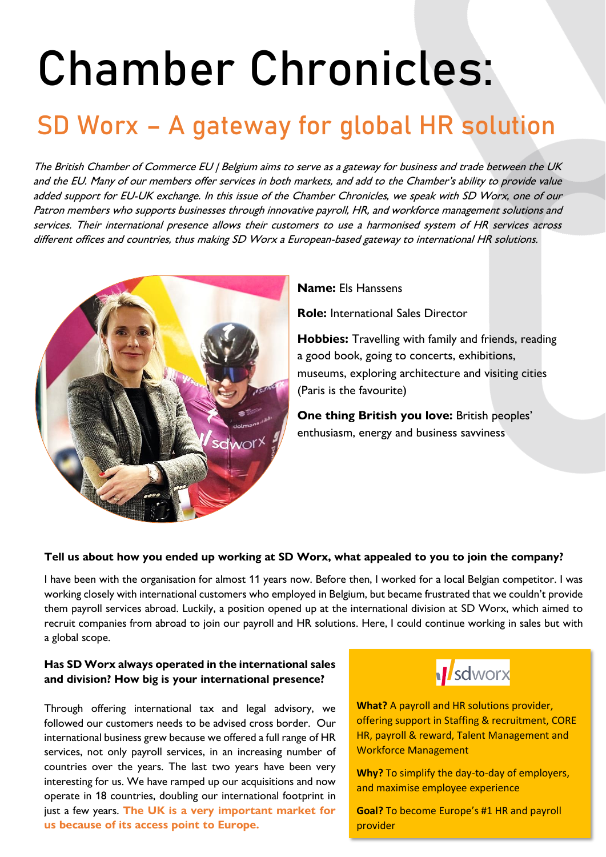# Chamber Chronicles:

# SD Worx – A gateway for global HR solution

The British Chamber of Commerce EU | Belgium aims to serve as a gateway for business and trade between the UK and the EU. Many of our members offer services in both markets, and add to the Chamber's ability to provide value added support for EU-UK exchange. In this issue of the Chamber Chronicles, we speak with SD Worx, one of our Patron members who supports businesses through innovative payroll, HR, and workforce management solutions and services. Their international presence allows their customers to use a harmonised system of HR services across different offices and countries, thus making SD Worx a European-based gateway to international HR solutions.



### **Name:** Els Hanssens

**Role:** International Sales Director

**Hobbies:** Travelling with family and friends, reading a good book, going to concerts, exhibitions, museums, exploring architecture and visiting cities (Paris is the favourite)

**One thing British you love:** British peoples' enthusiasm, energy and business savviness

# **Tell us about how you ended up working at SD Worx, what appealed to you to join the company?**

I have been with the organisation for almost 11 years now. Before then, I worked for a local Belgian competitor. I was working closely with international customers who employed in Belgium, but became frustrated that we couldn't provide them payroll services abroad. Luckily, a position opened up at the international division at SD Worx, which aimed to recruit companies from abroad to join our payroll and HR solutions. Here, I could continue working in sales but with a global scope.

### **Has SD Worx always operated in the international sales and division? How big is your international presence?**

Through offering international tax and legal advisory, we followed our customers needs to be advised cross border. Our international business grew because we offered a full range of HR services, not only payroll services, in an increasing number of countries over the years. The last two years have been very interesting for us. We have ramped up our acquisitions and now operate in 18 countries, doubling our international footprint in just a few years. **The UK is a very important market for us because of its access point to Europe.** 



**What?** A payroll and HR solutions provider, offering support in Staffing & recruitment, CORE HR, payroll & reward, Talent Management and Workforce Management

**Why?** To simplify the day-to-day of employers, and maximise employee experience

**Goal?** To become Europe's #1 HR and payroll provider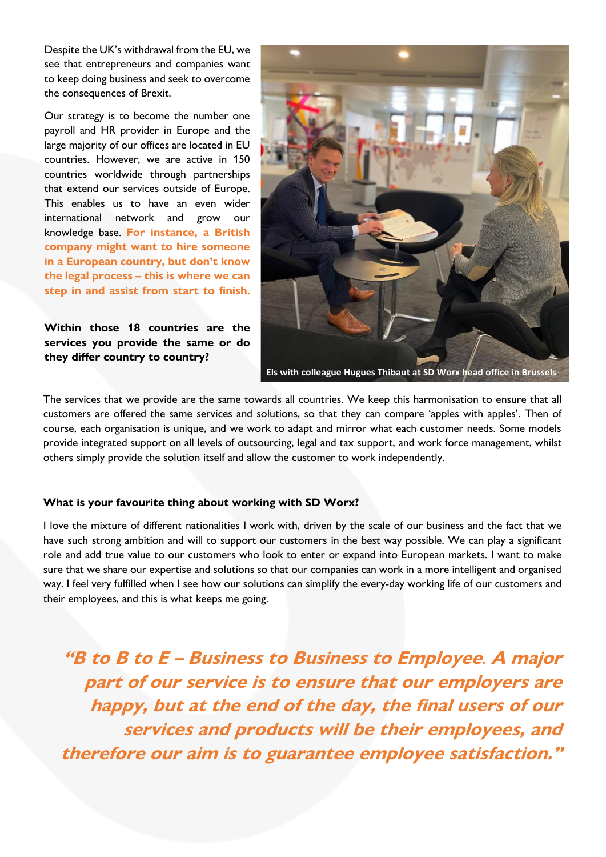Despite the UK's withdrawal from the EU, we see that entrepreneurs and companies want to keep doing business and seek to overcome the consequences of Brexit.

Our strategy is to become the number one payroll and HR provider in Europe and the large majority of our offices are located in EU countries. However, we are active in 150 countries worldwide through partnerships that extend our services outside of Europe. This enables us to have an even wider international network and grow our knowledge base. **For instance, a British company might want to hire someone in a European country, but don't know the legal process – this is where we can step in and assist from start to finish.**

**Within those 18 countries are the services you provide the same or do they differ country to country?**



The services that we provide are the same towards all countries. We keep this harmonisation to ensure that all customers are offered the same services and solutions, so that they can compare 'apples with apples'. Then of course, each organisation is unique, and we work to adapt and mirror what each customer needs. Some models provide integrated support on all levels of outsourcing, legal and tax support, and work force management, whilst others simply provide the solution itself and allow the customer to work independently.

#### **What is your favourite thing about working with SD Worx?**

I love the mixture of different nationalities I work with, driven by the scale of our business and the fact that we have such strong ambition and will to support our customers in the best way possible. We can play a significant role and add true value to our customers who look to enter or expand into European markets. I want to make sure that we share our expertise and solutions so that our companies can work in a more intelligent and organised way. I feel very fulfilled when I see how our solutions can simplify the every-day working life of our customers and their employees, and this is what keeps me going.

**"B to B to E – Business to Business to Employee**. **A major part of our service is to ensure that our employers are happy, but at the end of the day, the final users of our services and products will be their employees, and therefore our aim is to guarantee employee satisfaction."**